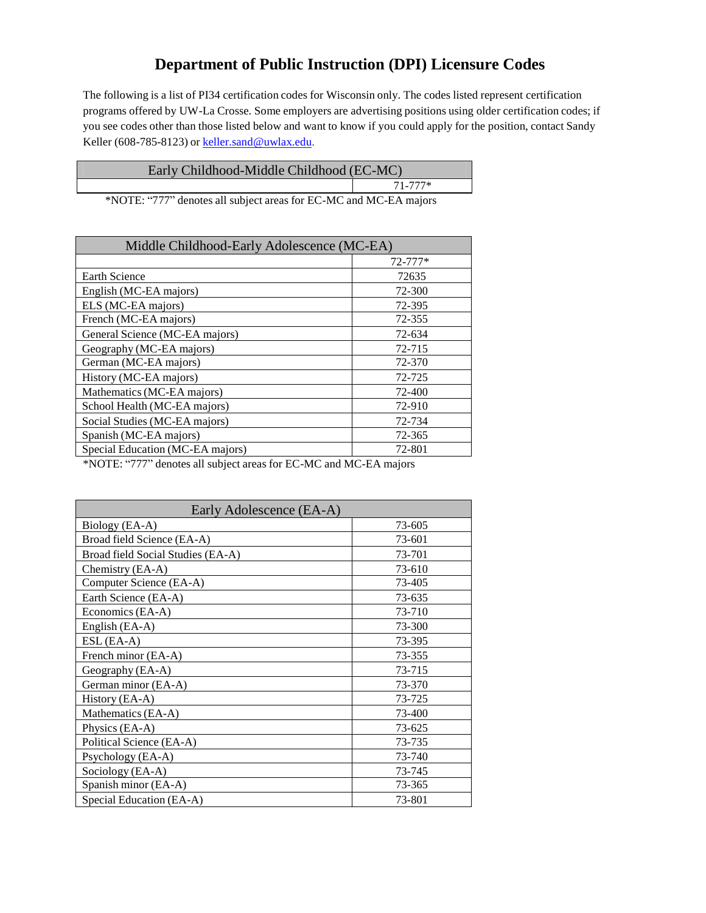## **Department of Public Instruction (DPI) Licensure Codes**

The following is a list of PI34 certification codes for Wisconsin only. The codes listed represent certification programs offered by UW-La Crosse. Some employers are advertising positions using older certification codes; if you see codes other than those listed below and want to know if you could apply for the position, contact Sandy Keller (608-785-8123) or [keller.sand@uwlax.edu.](mailto:keller.sand@uwlax.edu)

| Early Childhood-Middle Childhood (EC-MC) |             |
|------------------------------------------|-------------|
|                                          | $71 - 777*$ |

\*NOTE: "777" denotes all subject areas for EC-MC and MC-EA majors

| Middle Childhood-Early Adolescence (MC-EA) |             |  |
|--------------------------------------------|-------------|--|
|                                            | $72 - 777*$ |  |
| <b>Earth Science</b>                       | 72635       |  |
| English (MC-EA majors)                     | 72-300      |  |
| ELS (MC-EA majors)                         | 72-395      |  |
| French (MC-EA majors)                      | 72-355      |  |
| General Science (MC-EA majors)             | 72-634      |  |
| Geography (MC-EA majors)                   | 72-715      |  |
| German (MC-EA majors)                      | 72-370      |  |
| History (MC-EA majors)                     | 72-725      |  |
| Mathematics (MC-EA majors)                 | 72-400      |  |
| School Health (MC-EA majors)               | 72-910      |  |
| Social Studies (MC-EA majors)              | 72-734      |  |
| Spanish (MC-EA majors)                     | 72-365      |  |
| Special Education (MC-EA majors)           | 72-801      |  |

\*NOTE: "777" denotes all subject areas for EC-MC and MC-EA majors

| Early Adolescence (EA-A)          |        |
|-----------------------------------|--------|
| Biology (EA-A)                    | 73-605 |
| Broad field Science (EA-A)        | 73-601 |
| Broad field Social Studies (EA-A) | 73-701 |
| Chemistry (EA-A)                  | 73-610 |
| Computer Science (EA-A)           | 73-405 |
| Earth Science (EA-A)              | 73-635 |
| Economics (EA-A)                  | 73-710 |
| English (EA-A)                    | 73-300 |
| ESL (EA-A)                        | 73-395 |
| French minor (EA-A)               | 73-355 |
| Geography (EA-A)                  | 73-715 |
| German minor (EA-A)               | 73-370 |
| History (EA-A)                    | 73-725 |
| Mathematics (EA-A)                | 73-400 |
| Physics (EA-A)                    | 73-625 |
| Political Science (EA-A)          | 73-735 |
| Psychology (EA-A)                 | 73-740 |
| Sociology (EA-A)                  | 73-745 |
| Spanish minor (EA-A)              | 73-365 |
| Special Education (EA-A)          | 73-801 |